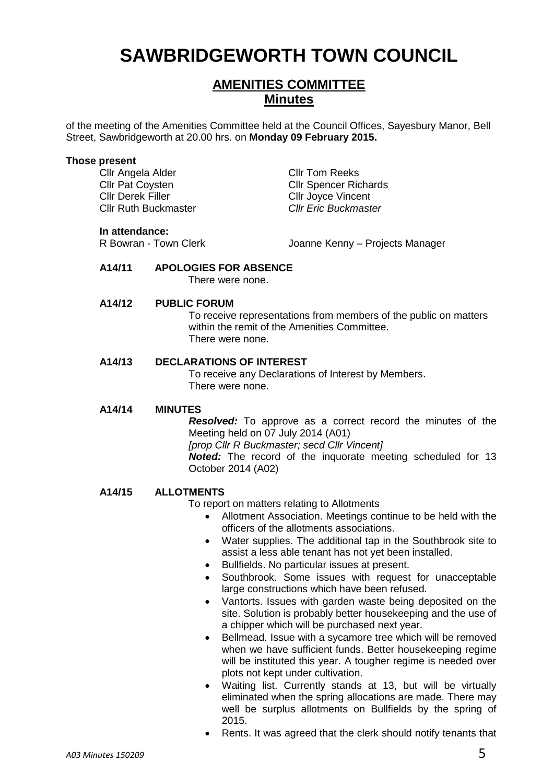# **SAWBRIDGEWORTH TOWN COUNCIL**

# **AMENITIES COMMITTEE Minutes**

of the meeting of the Amenities Committee held at the Council Offices, Sayesbury Manor, Bell Street, Sawbridgeworth at 20.00 hrs. on **Monday 09 February 2015.**

## **Those present**

Cllr Angela Alder Cllr Tom Reeks Cllr Derek Filler Cllr Joyce Vincent Cllr Ruth Buckmaster *Cllr Eric Buckmaster*

**Cllr Pat Coysten Cllr Spencer Richards** 

#### **In attendance:**

R Bowran - Town Clerk Joanne Kenny – Projects Manager

## **A14/11 APOLOGIES FOR ABSENCE**

There were none.

## **A14/12 PUBLIC FORUM**

To receive representations from members of the public on matters within the remit of the Amenities Committee. There were none.

# **A14/13 DECLARATIONS OF INTEREST**

To receive any Declarations of Interest by Members. There were none.

## **A14/14 MINUTES**

*Resolved:* To approve as a correct record the minutes of the Meeting held on 07 July 2014 (A01) *[prop Cllr R Buckmaster; secd Cllr Vincent] Noted:* The record of the inquorate meeting scheduled for 13 October 2014 (A02)

## **A14/15 ALLOTMENTS**

To report on matters relating to Allotments

- Allotment Association. Meetings continue to be held with the officers of the allotments associations.
- Water supplies. The additional tap in the Southbrook site to assist a less able tenant has not yet been installed.
- Bullfields. No particular issues at present.
- Southbrook. Some issues with request for unacceptable large constructions which have been refused.
- Vantorts. Issues with garden waste being deposited on the site. Solution is probably better housekeeping and the use of a chipper which will be purchased next year.
- Bellmead. Issue with a sycamore tree which will be removed when we have sufficient funds. Better housekeeping regime will be instituted this year. A tougher regime is needed over plots not kept under cultivation.
- Waiting list. Currently stands at 13, but will be virtually eliminated when the spring allocations are made. There may well be surplus allotments on Bullfields by the spring of 2015.
- Rents. It was agreed that the clerk should notify tenants that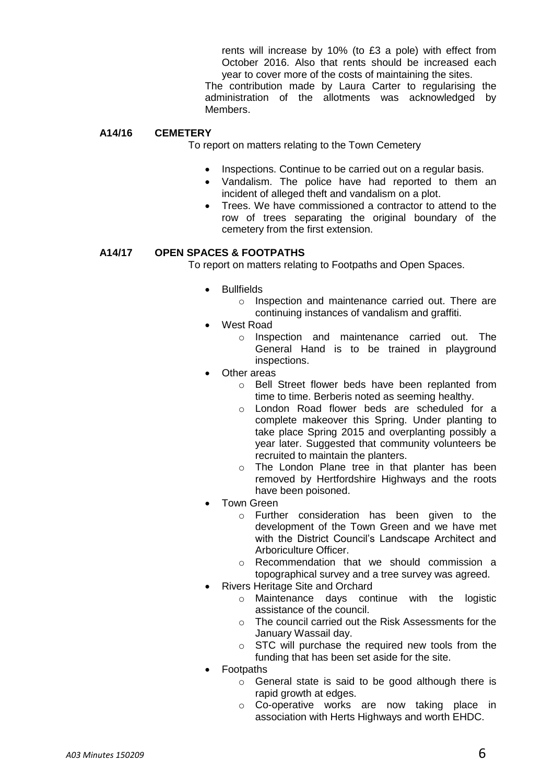rents will increase by 10% (to £3 a pole) with effect from October 2016. Also that rents should be increased each year to cover more of the costs of maintaining the sites.

The contribution made by Laura Carter to regularising the administration of the allotments was acknowledged by Members.

# **A14/16 CEMETERY**

To report on matters relating to the Town Cemetery

- Inspections. Continue to be carried out on a regular basis.
- Vandalism. The police have had reported to them an incident of alleged theft and vandalism on a plot.
- Trees. We have commissioned a contractor to attend to the row of trees separating the original boundary of the cemetery from the first extension.

# **A14/17 OPEN SPACES & FOOTPATHS**

To report on matters relating to Footpaths and Open Spaces.

- Bullfields
	- o Inspection and maintenance carried out. There are continuing instances of vandalism and graffiti.
- West Road
	- o Inspection and maintenance carried out. The General Hand is to be trained in playground inspections.
- Other areas
	- o Bell Street flower beds have been replanted from time to time. Berberis noted as seeming healthy.
	- o London Road flower beds are scheduled for a complete makeover this Spring. Under planting to take place Spring 2015 and overplanting possibly a year later. Suggested that community volunteers be recruited to maintain the planters.
	- o The London Plane tree in that planter has been removed by Hertfordshire Highways and the roots have been poisoned.
- Town Green
	- o Further consideration has been given to the development of the Town Green and we have met with the District Council's Landscape Architect and Arboriculture Officer.
	- o Recommendation that we should commission a topographical survey and a tree survey was agreed.
- Rivers Heritage Site and Orchard
	- o Maintenance days continue with the logistic assistance of the council.
	- o The council carried out the Risk Assessments for the January Wassail day.
	- o STC will purchase the required new tools from the funding that has been set aside for the site.
- Footpaths
	- o General state is said to be good although there is rapid growth at edges.
	- o Co-operative works are now taking place in association with Herts Highways and worth EHDC.